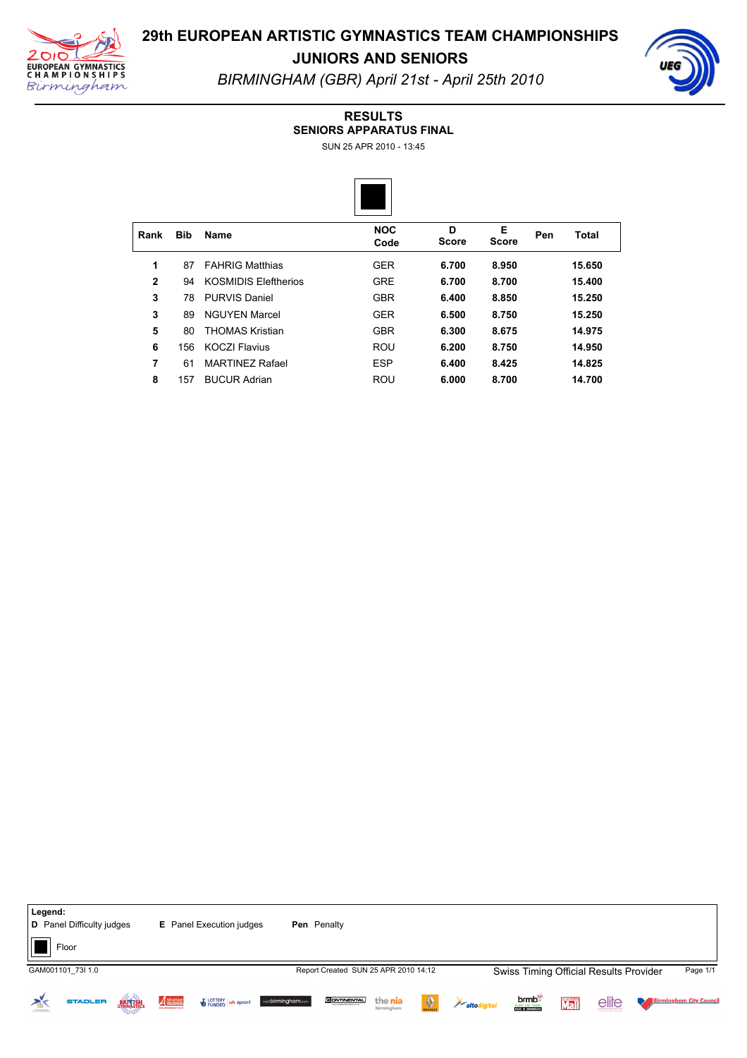

### **29th EUROPEAN ARTISTIC GYMNASTICS TEAM CHAMPIONSHIPS JUNIORS AND SENIORS**

*BIRMINGHAM (GBR) April 21st April 25th 2010*

### **RESULTS**

**SENIORS APPARATUS FINAL**

SUN 25 APR 2010 - 13:45



| <b>Bib</b> | <b>Name</b>                 | <b>NOC</b><br>Code | D<br><b>Score</b> | Е<br><b>Score</b> | Pen | Total  |
|------------|-----------------------------|--------------------|-------------------|-------------------|-----|--------|
| 87         | <b>FAHRIG Matthias</b>      | <b>GER</b>         | 6.700             | 8,950             |     | 15.650 |
| 94         | <b>KOSMIDIS Eleftherios</b> | <b>GRE</b>         | 6.700             | 8.700             |     | 15.400 |
| 78         | PURVIS Daniel               | <b>GBR</b>         | 6.400             | 8.850             |     | 15.250 |
| 89         | <b>NGUYEN Marcel</b>        | <b>GER</b>         | 6.500             | 8.750             |     | 15.250 |
| 80         | <b>THOMAS Kristian</b>      | <b>GBR</b>         | 6.300             | 8.675             |     | 14.975 |
| 156        | <b>KOCZI Flavius</b>        | <b>ROU</b>         | 6.200             | 8.750             |     | 14.950 |
| 61         | <b>MARTINEZ Rafael</b>      | <b>ESP</b>         | 6.400             | 8.425             |     | 14.825 |
| 157        | <b>BUCUR Adrian</b>         | <b>ROU</b>         | 6.000             | 8.700             |     | 14.700 |
|            |                             |                    |                   |                   |     |        |



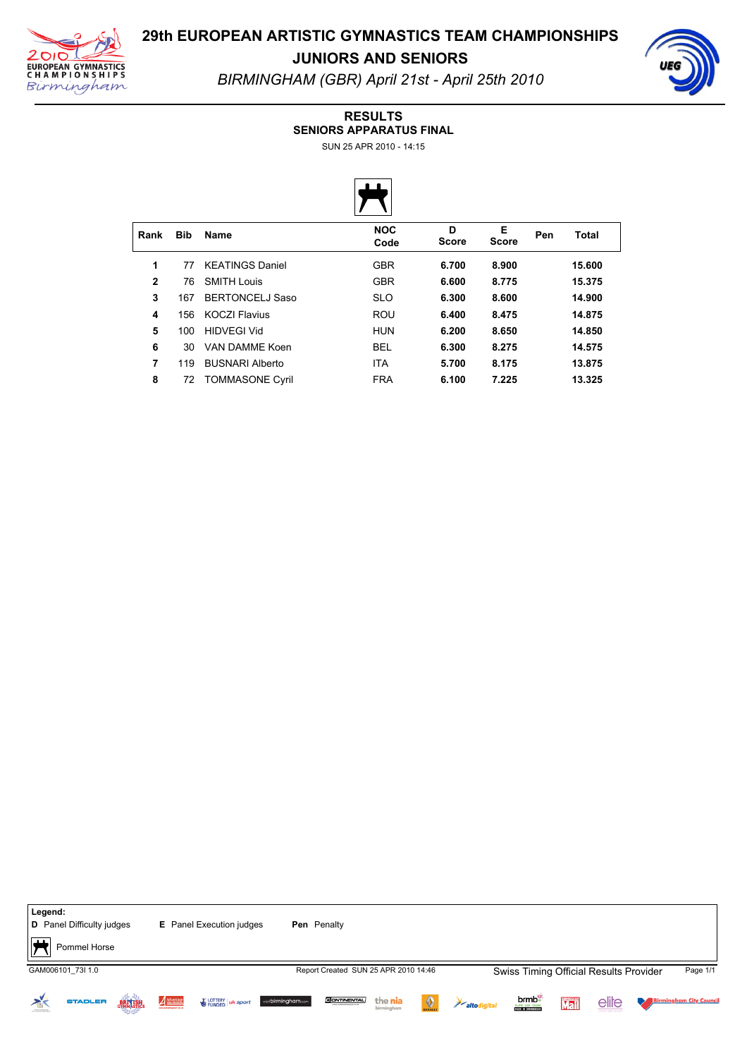

**JUNIORS AND SENIORS**



*BIRMINGHAM (GBR) April 21st April 25th 2010*

#### **RESULTS**

**SENIORS APPARATUS FINAL**

SUN 25 APR 2010 - 14:15



| Rank         | <b>Bib</b> | <b>Name</b>            | <b>NOC</b><br>Code | D<br><b>Score</b> | Е<br><b>Score</b> | Pen | Total  |  |
|--------------|------------|------------------------|--------------------|-------------------|-------------------|-----|--------|--|
| 1            | 77         | <b>KEATINGS Daniel</b> | <b>GBR</b>         | 6.700             | 8.900             |     | 15.600 |  |
| $\mathbf{2}$ | 76         | <b>SMITH Louis</b>     | <b>GBR</b>         | 6.600             | 8.775             |     | 15.375 |  |
| 3            | 167        | <b>BERTONCELJ Saso</b> | <b>SLO</b>         | 6.300             | 8.600             |     | 14.900 |  |
| 4            | 156        | <b>KOCZI Flavius</b>   | <b>ROU</b>         | 6.400             | 8.475             |     | 14.875 |  |
| 5            | 100        | <b>HIDVEGI Vid</b>     | <b>HUN</b>         | 6.200             | 8.650             |     | 14.850 |  |
| 6            | 30         | VAN DAMME Koen         | <b>BEL</b>         | 6.300             | 8.275             |     | 14.575 |  |
| 7            | 119        | <b>BUSNARI Alberto</b> | <b>ITA</b>         | 5.700             | 8.175             |     | 13.875 |  |
| 8            | 72         | <b>TOMMASONE Cyril</b> | <b>FRA</b>         | 6.100             | 7.225             |     | 13.325 |  |

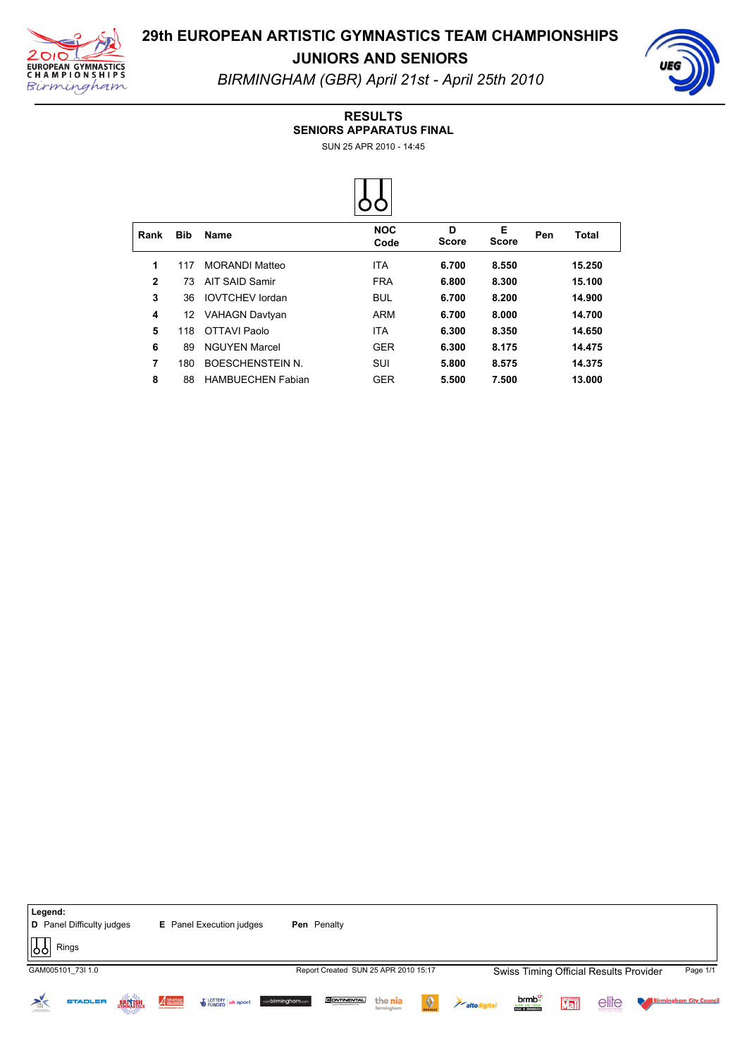

**JUNIORS AND SENIORS**



*BIRMINGHAM (GBR) April 21st April 25th 2010*

### **RESULTS**

**SENIORS APPARATUS FINAL**

SUN 25 APR 2010 - 14:45



| Rank         | <b>Bib</b> | <b>Name</b>              | <b>NOC</b><br>Code | D<br><b>Score</b> | Е<br><b>Score</b> | Pen | Total  |  |
|--------------|------------|--------------------------|--------------------|-------------------|-------------------|-----|--------|--|
| 1            | 117        | <b>MORANDI Matteo</b>    | <b>ITA</b>         | 6.700             | 8.550             |     | 15.250 |  |
| $\mathbf{2}$ | 73         | AIT SAID Samir           | <b>FRA</b>         | 6.800             | 8.300             |     | 15.100 |  |
| 3            | 36         | <b>IOVTCHEV</b> lordan   | <b>BUL</b>         | 6.700             | 8.200             |     | 14.900 |  |
| 4            | 12         | <b>VAHAGN Davtyan</b>    | ARM                | 6.700             | 8.000             |     | 14.700 |  |
| 5            | 118        | OTTAVI Paolo             | <b>ITA</b>         | 6.300             | 8.350             |     | 14.650 |  |
| 6            | 89         | <b>NGUYEN Marcel</b>     | <b>GER</b>         | 6.300             | 8.175             |     | 14.475 |  |
| 7            | 180        | <b>BOESCHENSTEIN N.</b>  | <b>SUI</b>         | 5.800             | 8.575             |     | 14.375 |  |
| 8            | 88         | <b>HAMBUECHEN Fabian</b> | <b>GER</b>         | 5.500             | 7.500             |     | 13.000 |  |

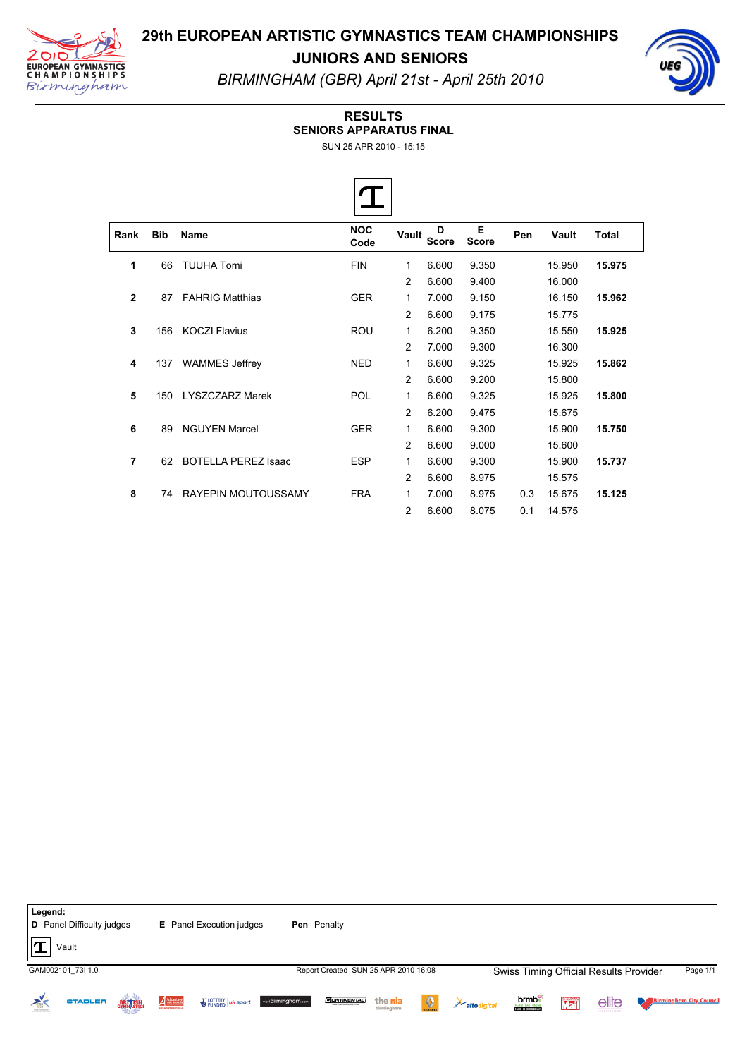



**JUNIORS AND SENIORS** *BIRMINGHAM (GBR) April 21st April 25th 2010*

#### **RESULTS**

**SENIORS APPARATUS FINAL**

 $\overline{\phantom{a}}$ 

SUN 25 APR 2010 - 15:15

| Rank           | <b>Bib</b> | Name                       | <b>NOC</b><br>Code | Vault          | D<br><b>Score</b> | Е<br><b>Score</b> | Pen | Vault  | <b>Total</b> |  |
|----------------|------------|----------------------------|--------------------|----------------|-------------------|-------------------|-----|--------|--------------|--|
| 1              | 66         | <b>TUUHA Tomi</b>          | <b>FIN</b>         | 1              | 6.600             | 9.350             |     | 15.950 | 15.975       |  |
|                |            |                            |                    | 2              | 6.600             | 9.400             |     | 16.000 |              |  |
| $\mathbf{2}$   | 87         | <b>FAHRIG Matthias</b>     | <b>GER</b>         | 1              | 7.000             | 9.150             |     | 16.150 | 15.962       |  |
|                |            |                            |                    | 2              | 6.600             | 9.175             |     | 15.775 |              |  |
| 3              | 156        | <b>KOCZI Flavius</b>       | <b>ROU</b>         | 1              | 6.200             | 9.350             |     | 15.550 | 15.925       |  |
|                |            |                            |                    | 2              | 7.000             | 9.300             |     | 16.300 |              |  |
| 4              | 137        | <b>WAMMES Jeffrey</b>      | <b>NED</b>         | 1              | 6.600             | 9.325             |     | 15.925 | 15.862       |  |
|                |            |                            |                    | 2              | 6.600             | 9.200             |     | 15.800 |              |  |
| 5              | 150        | <b>LYSZCZARZ Marek</b>     | POL                | 1              | 6.600             | 9.325             |     | 15.925 | 15,800       |  |
|                |            |                            |                    | 2              | 6.200             | 9.475             |     | 15.675 |              |  |
| 6              | 89         | <b>NGUYEN Marcel</b>       | <b>GER</b>         | 1              | 6.600             | 9.300             |     | 15.900 | 15.750       |  |
|                |            |                            |                    | 2              | 6.600             | 9.000             |     | 15.600 |              |  |
| $\overline{7}$ | 62         | <b>BOTELLA PEREZ Isaac</b> | <b>ESP</b>         | 1              | 6.600             | 9.300             |     | 15.900 | 15.737       |  |
|                |            |                            |                    | 2              | 6.600             | 8.975             |     | 15.575 |              |  |
| 8              | 74         | <b>RAYEPIN MOUTOUSSAMY</b> | <b>FRA</b>         | 1              | 7.000             | 8.975             | 0.3 | 15.675 | 15.125       |  |
|                |            |                            |                    | $\overline{c}$ | 6.600             | 8.075             | 0.1 | 14.575 |              |  |

**Legend: D** Panel Difficulty judges **E** Panel Execution judges **Pen** Penalty  $|\mathbf{T}|$  Vault GAM002101\_73I 1.0 **Example 2010 12 Approximated SUN 25 APR 2010 16:08** Swiss Timing Official Results Provider Page 1/1 **brmb**<sup>e</sup> **Birmingham City Council**  $\geq$ **STADLER** Advantage CONTIERT UK sport visibirningham.com **CONTINENTAL** the nia elite BRITISH  $\langle \rangle$ Mail altodigital NARM - DAS - ONLINE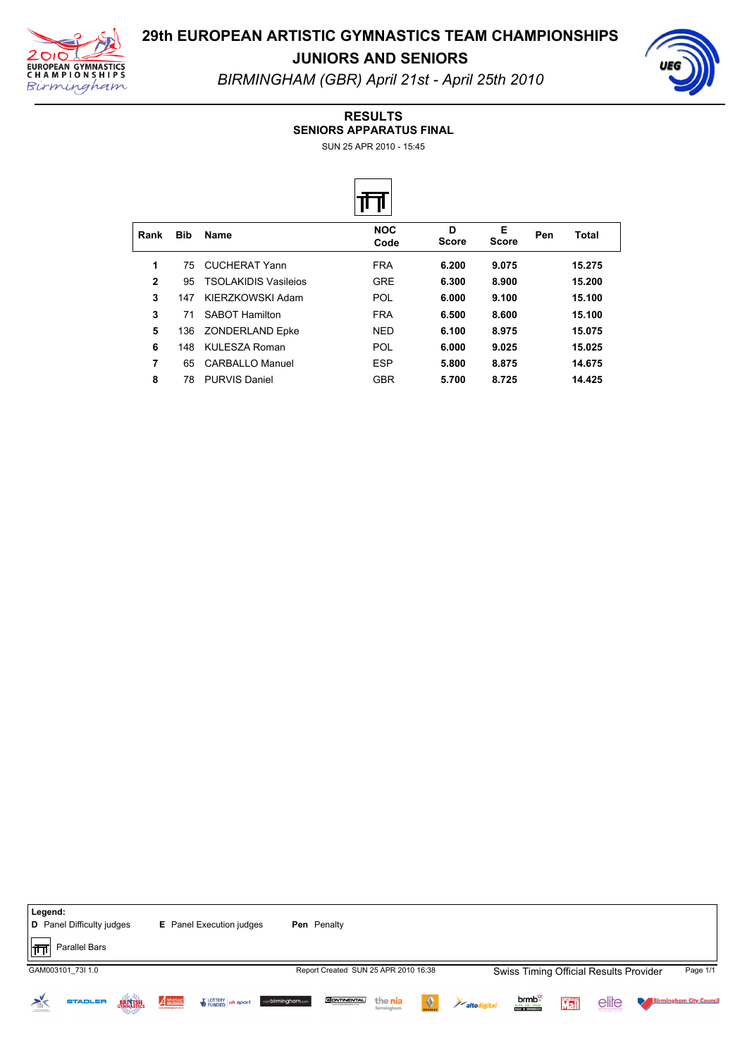

**JUNIORS AND SENIORS**



*BIRMINGHAM (GBR) April 21st April 25th 2010*

#### **RESULTS**

**SENIORS APPARATUS FINAL**

SUN 25 APR 2010 - 15:45



| Rank         | <b>Bib</b> | <b>Name</b>                 | <b>NOC</b><br>Code | D<br><b>Score</b> | Е<br><b>Score</b> | Pen | Total  |  |
|--------------|------------|-----------------------------|--------------------|-------------------|-------------------|-----|--------|--|
| 1            | 75         | CUCHERAT Yann               | <b>FRA</b>         | 6.200             | 9.075             |     | 15.275 |  |
| $\mathbf{2}$ | 95         | <b>TSOLAKIDIS Vasileios</b> | <b>GRE</b>         | 6.300             | 8.900             |     | 15.200 |  |
| 3            | 147        | KIERZKOWSKI Adam            | POL                | 6.000             | 9.100             |     | 15.100 |  |
| 3            | 71         | <b>SABOT Hamilton</b>       | <b>FRA</b>         | 6.500             | 8.600             |     | 15.100 |  |
| 5            | 136        | ZONDERLAND Epke             | <b>NED</b>         | 6.100             | 8.975             |     | 15.075 |  |
| 6            | 148        | KULESZA Roman               | POL                | 6.000             | 9.025             |     | 15.025 |  |
| 7            | 65         | <b>CARBALLO Manuel</b>      | <b>ESP</b>         | 5.800             | 8.875             |     | 14.675 |  |
| 8            | 78         | <b>PURVIS Daniel</b>        | <b>GBR</b>         | 5.700             | 8.725             |     | 14.425 |  |

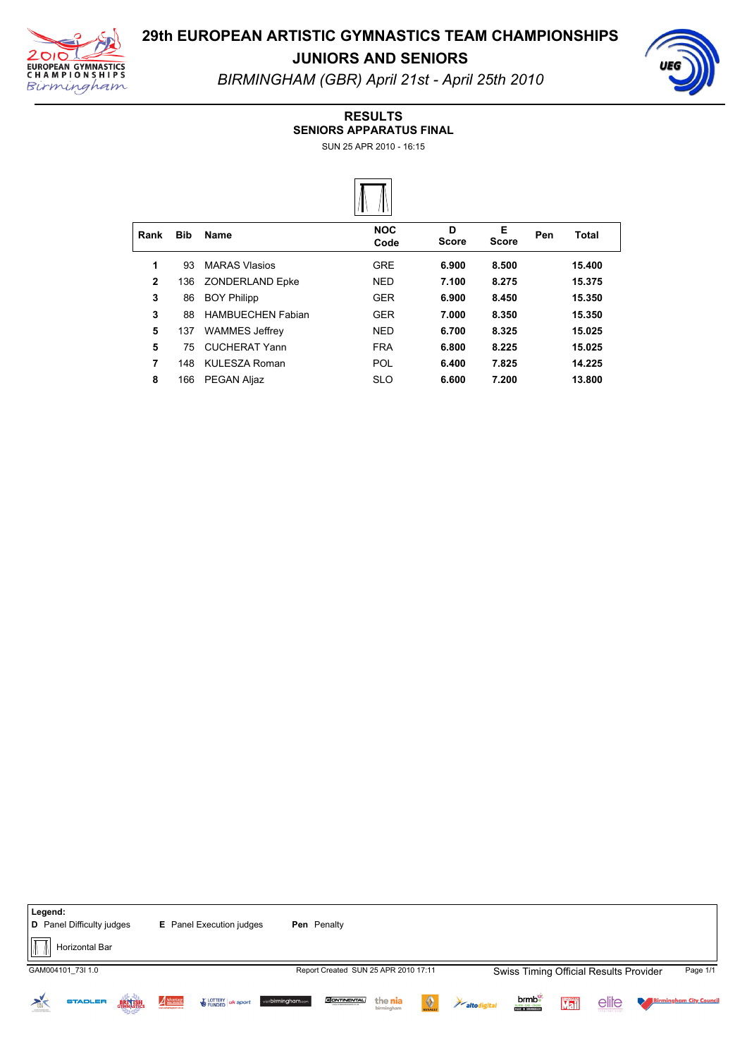



**JUNIORS AND SENIORS** *BIRMINGHAM (GBR) April 21st April 25th 2010*

#### **RESULTS**

**SENIORS APPARATUS FINAL**

SUN 25 APR 2010 - 16:15



| Rank         | <b>Bib</b> | Name                     | <b>NOC</b><br>Code | D<br><b>Score</b> | Е<br><b>Score</b> | Pen | Total  |  |
|--------------|------------|--------------------------|--------------------|-------------------|-------------------|-----|--------|--|
| 1            | 93         | <b>MARAS Vlasios</b>     | <b>GRE</b>         | 6.900             | 8.500             |     | 15.400 |  |
| $\mathbf{2}$ | 136        | <b>ZONDERLAND Epke</b>   | <b>NED</b>         | 7.100             | 8.275             |     | 15.375 |  |
| 3            | 86         | <b>BOY Philipp</b>       | <b>GER</b>         | 6.900             | 8.450             |     | 15.350 |  |
| 3            | 88         | <b>HAMBUECHEN Fabian</b> | <b>GER</b>         | 7.000             | 8.350             |     | 15.350 |  |
| 5            | 137        | <b>WAMMES Jeffrey</b>    | <b>NED</b>         | 6.700             | 8.325             |     | 15.025 |  |
| 5            | 75         | <b>CUCHERAT Yann</b>     | <b>FRA</b>         | 6.800             | 8.225             |     | 15.025 |  |
| 7            | 148        | <b>KULESZA Roman</b>     | <b>POL</b>         | 6.400             | 7.825             |     | 14.225 |  |
| 8            | 166        | <b>PEGAN Aljaz</b>       | <b>SLO</b>         | 6.600             | 7.200             |     | 13.800 |  |